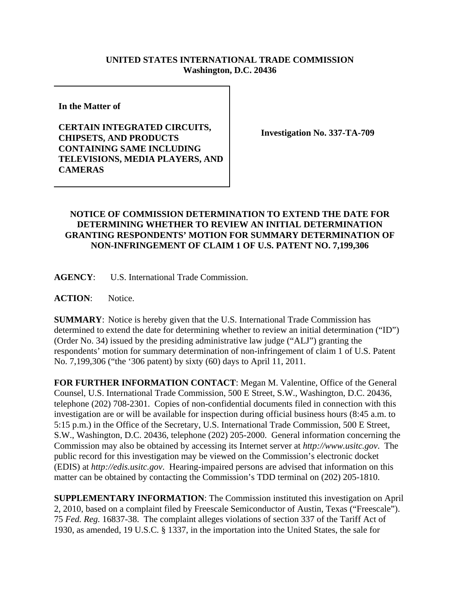## **UNITED STATES INTERNATIONAL TRADE COMMISSION Washington, D.C. 20436**

**In the Matter of** 

**CERTAIN INTEGRATED CIRCUITS, CHIPSETS, AND PRODUCTS CONTAINING SAME INCLUDING TELEVISIONS, MEDIA PLAYERS, AND CAMERAS**

**Investigation No. 337-TA-709**

## **NOTICE OF COMMISSION DETERMINATION TO EXTEND THE DATE FOR DETERMINING WHETHER TO REVIEW AN INITIAL DETERMINATION GRANTING RESPONDENTS' MOTION FOR SUMMARY DETERMINATION OF NON-INFRINGEMENT OF CLAIM 1 OF U.S. PATENT NO. 7,199,306**

**AGENCY**: U.S. International Trade Commission.

**ACTION**: Notice.

**SUMMARY**: Notice is hereby given that the U.S. International Trade Commission has determined to extend the date for determining whether to review an initial determination ("ID") (Order No. 34) issued by the presiding administrative law judge ("ALJ") granting the respondents' motion for summary determination of non-infringement of claim 1 of U.S. Patent No. 7,199,306 ("the '306 patent) by sixty (60) days to April 11, 2011.

**FOR FURTHER INFORMATION CONTACT**: Megan M. Valentine, Office of the General Counsel, U.S. International Trade Commission, 500 E Street, S.W., Washington, D.C. 20436, telephone (202) 708-2301. Copies of non-confidential documents filed in connection with this investigation are or will be available for inspection during official business hours (8:45 a.m. to 5:15 p.m.) in the Office of the Secretary, U.S. International Trade Commission, 500 E Street, S.W., Washington, D.C. 20436, telephone (202) 205-2000. General information concerning the Commission may also be obtained by accessing its Internet server at *http://www.usitc.gov*. The public record for this investigation may be viewed on the Commission's electronic docket (EDIS) at *http://edis.usitc.gov*. Hearing-impaired persons are advised that information on this matter can be obtained by contacting the Commission's TDD terminal on (202) 205-1810.

**SUPPLEMENTARY INFORMATION**: The Commission instituted this investigation on April 2, 2010, based on a complaint filed by Freescale Semiconductor of Austin, Texas ("Freescale"). 75 *Fed. Reg.* 16837-38. The complaint alleges violations of section 337 of the Tariff Act of 1930, as amended, 19 U.S.C. § 1337, in the importation into the United States, the sale for